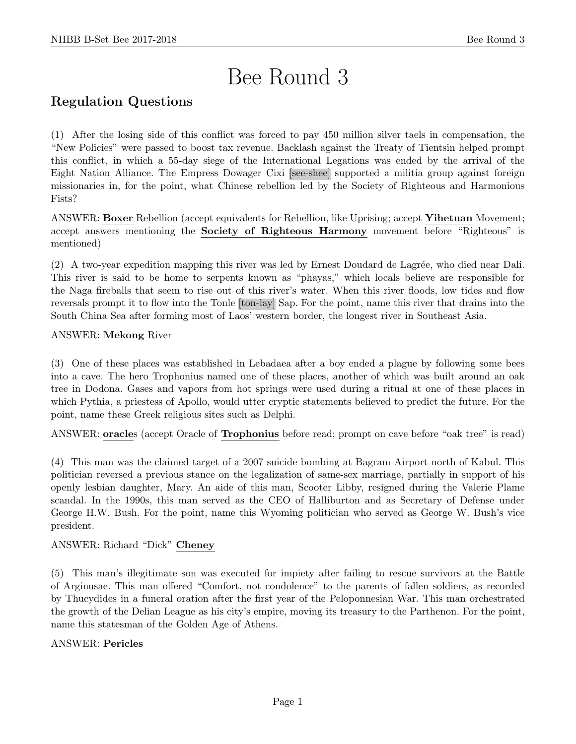# Bee Round 3

# Regulation Questions

(1) After the losing side of this conflict was forced to pay 450 million silver taels in compensation, the "New Policies" were passed to boost tax revenue. Backlash against the Treaty of Tientsin helped prompt this conflict, in which a 55-day siege of the International Legations was ended by the arrival of the Eight Nation Alliance. The Empress Dowager Cixi [see-shee] supported a militia group against foreign missionaries in, for the point, what Chinese rebellion led by the Society of Righteous and Harmonious Fists?

ANSWER: Boxer Rebellion (accept equivalents for Rebellion, like Uprising; accept Yihetuan Movement; accept answers mentioning the **Society of Righteous Harmony** movement before "Righteous" is mentioned)

(2) A two-year expedition mapping this river was led by Ernest Doudard de Lagrée, who died near Dali. This river is said to be home to serpents known as "phayas," which locals believe are responsible for the Naga fireballs that seem to rise out of this river's water. When this river floods, low tides and flow reversals prompt it to flow into the Tonle [ton-lay] Sap. For the point, name this river that drains into the South China Sea after forming most of Laos' western border, the longest river in Southeast Asia.

# ANSWER: Mekong River

(3) One of these places was established in Lebadaea after a boy ended a plague by following some bees into a cave. The hero Trophonius named one of these places, another of which was built around an oak tree in Dodona. Gases and vapors from hot springs were used during a ritual at one of these places in which Pythia, a priestess of Apollo, would utter cryptic statements believed to predict the future. For the point, name these Greek religious sites such as Delphi.

ANSWER: oracles (accept Oracle of Trophonius before read; prompt on cave before "oak tree" is read)

(4) This man was the claimed target of a 2007 suicide bombing at Bagram Airport north of Kabul. This politician reversed a previous stance on the legalization of same-sex marriage, partially in support of his openly lesbian daughter, Mary. An aide of this man, Scooter Libby, resigned during the Valerie Plame scandal. In the 1990s, this man served as the CEO of Halliburton and as Secretary of Defense under George H.W. Bush. For the point, name this Wyoming politician who served as George W. Bush's vice president.

# ANSWER: Richard "Dick" Cheney

(5) This man's illegitimate son was executed for impiety after failing to rescue survivors at the Battle of Arginusae. This man offered "Comfort, not condolence" to the parents of fallen soldiers, as recorded by Thucydides in a funeral oration after the first year of the Peloponnesian War. This man orchestrated the growth of the Delian League as his city's empire, moving its treasury to the Parthenon. For the point, name this statesman of the Golden Age of Athens.

# ANSWER: Pericles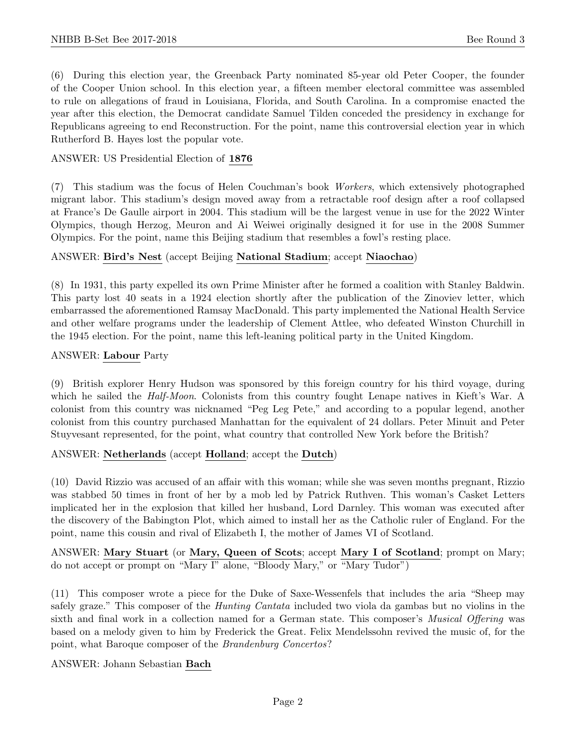(6) During this election year, the Greenback Party nominated 85-year old Peter Cooper, the founder of the Cooper Union school. In this election year, a fifteen member electoral committee was assembled to rule on allegations of fraud in Louisiana, Florida, and South Carolina. In a compromise enacted the year after this election, the Democrat candidate Samuel Tilden conceded the presidency in exchange for Republicans agreeing to end Reconstruction. For the point, name this controversial election year in which Rutherford B. Hayes lost the popular vote.

# ANSWER: US Presidential Election of 1876

(7) This stadium was the focus of Helen Couchman's book Workers, which extensively photographed migrant labor. This stadium's design moved away from a retractable roof design after a roof collapsed at France's De Gaulle airport in 2004. This stadium will be the largest venue in use for the 2022 Winter Olympics, though Herzog, Meuron and Ai Weiwei originally designed it for use in the 2008 Summer Olympics. For the point, name this Beijing stadium that resembles a fowl's resting place.

## ANSWER: Bird's Nest (accept Beijing National Stadium; accept Niaochao)

(8) In 1931, this party expelled its own Prime Minister after he formed a coalition with Stanley Baldwin. This party lost 40 seats in a 1924 election shortly after the publication of the Zinoviev letter, which embarrassed the aforementioned Ramsay MacDonald. This party implemented the National Health Service and other welfare programs under the leadership of Clement Attlee, who defeated Winston Churchill in the 1945 election. For the point, name this left-leaning political party in the United Kingdom.

## ANSWER: Labour Party

(9) British explorer Henry Hudson was sponsored by this foreign country for his third voyage, during which he sailed the *Half-Moon*. Colonists from this country fought Lenape natives in Kieft's War. A colonist from this country was nicknamed "Peg Leg Pete," and according to a popular legend, another colonist from this country purchased Manhattan for the equivalent of 24 dollars. Peter Minuit and Peter Stuyvesant represented, for the point, what country that controlled New York before the British?

# ANSWER: Netherlands (accept Holland; accept the Dutch)

(10) David Rizzio was accused of an affair with this woman; while she was seven months pregnant, Rizzio was stabbed 50 times in front of her by a mob led by Patrick Ruthven. This woman's Casket Letters implicated her in the explosion that killed her husband, Lord Darnley. This woman was executed after the discovery of the Babington Plot, which aimed to install her as the Catholic ruler of England. For the point, name this cousin and rival of Elizabeth I, the mother of James VI of Scotland.

ANSWER: Mary Stuart (or Mary, Queen of Scots; accept Mary I of Scotland; prompt on Mary; do not accept or prompt on "Mary I" alone, "Bloody Mary," or "Mary Tudor")

(11) This composer wrote a piece for the Duke of Saxe-Wessenfels that includes the aria "Sheep may safely graze." This composer of the Hunting Cantata included two viola da gambas but no violins in the sixth and final work in a collection named for a German state. This composer's *Musical Offering* was based on a melody given to him by Frederick the Great. Felix Mendelssohn revived the music of, for the point, what Baroque composer of the Brandenburg Concertos?

ANSWER: Johann Sebastian Bach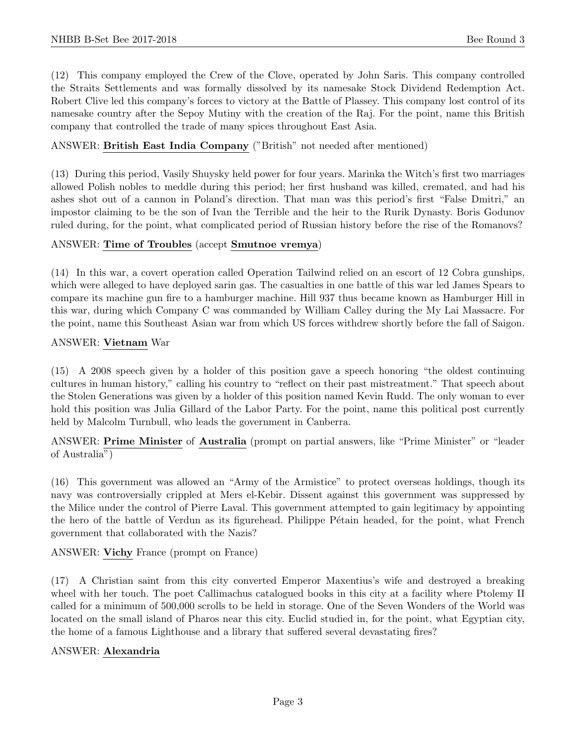(12) This company employed the Crew of the Clove, operated by John Saris. This company controlled the Straits Settlements and was formally dissolved by its namesake Stock Dividend Redemption Act. Robert Clive led this company's forces to victory at the Battle of Plassey. This company lost control of its namesake country after the Sepoy Mutiny with the creation of the Raj. For the point, name this British company that controlled the trade of many spices throughout East Asia.

# ANSWER: British East India Company ("British" not needed after mentioned)

(13) During this period, Vasily Shuysky held power for four years. Marinka the Witch's first two marriages allowed Polish nobles to meddle during this period; her first husband was killed, cremated, and had his ashes shot out of a cannon in Poland's direction. That man was this period's first "False Dmitri," an impostor claiming to be the son of Ivan the Terrible and the heir to the Rurik Dynasty. Boris Godunov ruled during, for the point, what complicated period of Russian history before the rise of the Romanovs?

#### ANSWER: Time of Troubles (accept Smutnoe vremya)

(14) In this war, a covert operation called Operation Tailwind relied on an escort of 12 Cobra gunships, which were alleged to have deployed sarin gas. The casualties in one battle of this war led James Spears to compare its machine gun fire to a hamburger machine. Hill 937 thus became known as Hamburger Hill in this war, during which Company C was commanded by William Calley during the My Lai Massacre. For the point, name this Southeast Asian war from which US forces withdrew shortly before the fall of Saigon.

#### ANSWER: Vietnam War

(15) A 2008 speech given by a holder of this position gave a speech honoring "the oldest continuing cultures in human history," calling his country to "reflect on their past mistreatment." That speech about the Stolen Generations was given by a holder of this position named Kevin Rudd. The only woman to ever hold this position was Julia Gillard of the Labor Party. For the point, name this political post currently held by Malcolm Turnbull, who leads the government in Canberra.

ANSWER: Prime Minister of Australia (prompt on partial answers, like "Prime Minister" or "leader of Australia")

(16) This government was allowed an "Army of the Armistice" to protect overseas holdings, though its navy was controversially crippled at Mers el-Kebir. Dissent against this government was suppressed by the Milice under the control of Pierre Laval. This government attempted to gain legitimacy by appointing the hero of the battle of Verdun as its figurehead. Philippe Pétain headed, for the point, what French government that collaborated with the Nazis?

ANSWER: Vichy France (prompt on France)

(17) A Christian saint from this city converted Emperor Maxentius's wife and destroyed a breaking wheel with her touch. The poet Callimachus catalogued books in this city at a facility where Ptolemy II called for a minimum of 500,000 scrolls to be held in storage. One of the Seven Wonders of the World was located on the small island of Pharos near this city. Euclid studied in, for the point, what Egyptian city, the home of a famous Lighthouse and a library that suffered several devastating fires?

#### ANSWER: Alexandria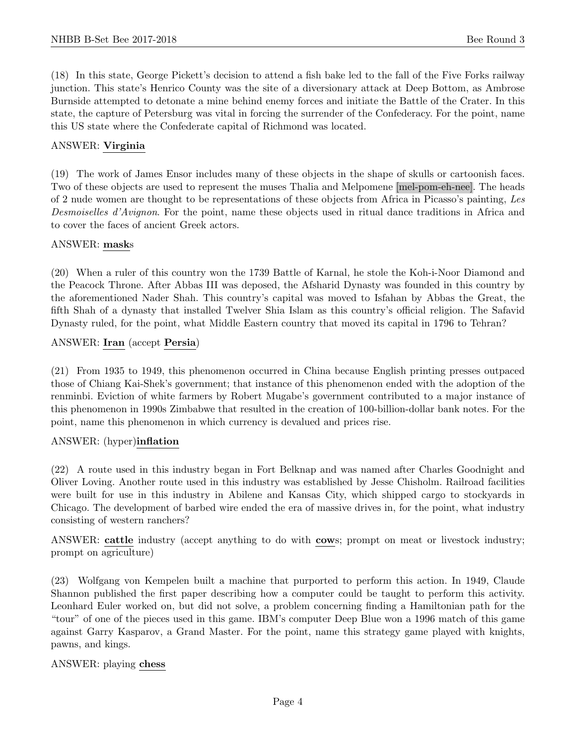(18) In this state, George Pickett's decision to attend a fish bake led to the fall of the Five Forks railway junction. This state's Henrico County was the site of a diversionary attack at Deep Bottom, as Ambrose Burnside attempted to detonate a mine behind enemy forces and initiate the Battle of the Crater. In this state, the capture of Petersburg was vital in forcing the surrender of the Confederacy. For the point, name this US state where the Confederate capital of Richmond was located.

# ANSWER: Virginia

(19) The work of James Ensor includes many of these objects in the shape of skulls or cartoonish faces. Two of these objects are used to represent the muses Thalia and Melpomene [mel-pom-eh-nee]. The heads of 2 nude women are thought to be representations of these objects from Africa in Picasso's painting, Les Desmoiselles d'Avignon. For the point, name these objects used in ritual dance traditions in Africa and to cover the faces of ancient Greek actors.

#### ANSWER: masks

(20) When a ruler of this country won the 1739 Battle of Karnal, he stole the Koh-i-Noor Diamond and the Peacock Throne. After Abbas III was deposed, the Afsharid Dynasty was founded in this country by the aforementioned Nader Shah. This country's capital was moved to Isfahan by Abbas the Great, the fifth Shah of a dynasty that installed Twelver Shia Islam as this country's official religion. The Safavid Dynasty ruled, for the point, what Middle Eastern country that moved its capital in 1796 to Tehran?

## ANSWER: Iran (accept Persia)

(21) From 1935 to 1949, this phenomenon occurred in China because English printing presses outpaced those of Chiang Kai-Shek's government; that instance of this phenomenon ended with the adoption of the renminbi. Eviction of white farmers by Robert Mugabe's government contributed to a major instance of this phenomenon in 1990s Zimbabwe that resulted in the creation of 100-billion-dollar bank notes. For the point, name this phenomenon in which currency is devalued and prices rise.

#### ANSWER: (hyper)inflation

(22) A route used in this industry began in Fort Belknap and was named after Charles Goodnight and Oliver Loving. Another route used in this industry was established by Jesse Chisholm. Railroad facilities were built for use in this industry in Abilene and Kansas City, which shipped cargo to stockyards in Chicago. The development of barbed wire ended the era of massive drives in, for the point, what industry consisting of western ranchers?

ANSWER: cattle industry (accept anything to do with cows; prompt on meat or livestock industry; prompt on agriculture)

(23) Wolfgang von Kempelen built a machine that purported to perform this action. In 1949, Claude Shannon published the first paper describing how a computer could be taught to perform this activity. Leonhard Euler worked on, but did not solve, a problem concerning finding a Hamiltonian path for the "tour" of one of the pieces used in this game. IBM's computer Deep Blue won a 1996 match of this game against Garry Kasparov, a Grand Master. For the point, name this strategy game played with knights, pawns, and kings.

#### ANSWER: playing chess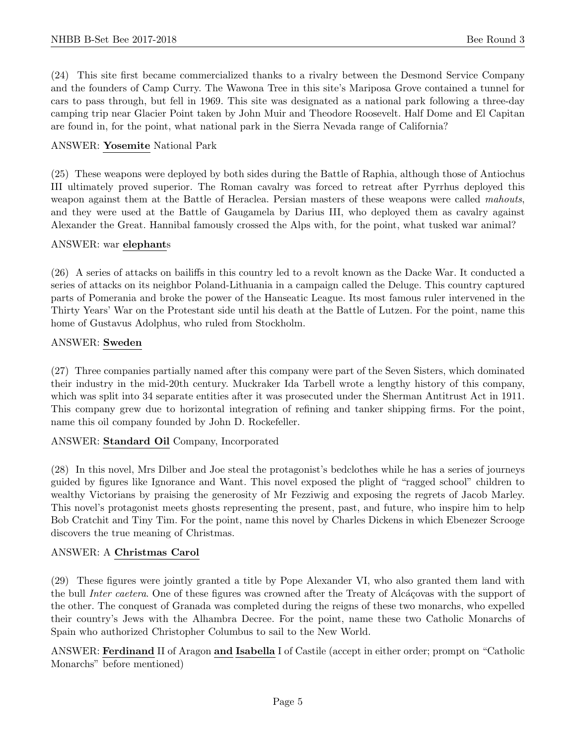(24) This site first became commercialized thanks to a rivalry between the Desmond Service Company and the founders of Camp Curry. The Wawona Tree in this site's Mariposa Grove contained a tunnel for cars to pass through, but fell in 1969. This site was designated as a national park following a three-day camping trip near Glacier Point taken by John Muir and Theodore Roosevelt. Half Dome and El Capitan are found in, for the point, what national park in the Sierra Nevada range of California?

#### ANSWER: Yosemite National Park

(25) These weapons were deployed by both sides during the Battle of Raphia, although those of Antiochus III ultimately proved superior. The Roman cavalry was forced to retreat after Pyrrhus deployed this weapon against them at the Battle of Heraclea. Persian masters of these weapons were called *mahouts*, and they were used at the Battle of Gaugamela by Darius III, who deployed them as cavalry against Alexander the Great. Hannibal famously crossed the Alps with, for the point, what tusked war animal?

#### ANSWER: war elephants

(26) A series of attacks on bailiffs in this country led to a revolt known as the Dacke War. It conducted a series of attacks on its neighbor Poland-Lithuania in a campaign called the Deluge. This country captured parts of Pomerania and broke the power of the Hanseatic League. Its most famous ruler intervened in the Thirty Years' War on the Protestant side until his death at the Battle of Lutzen. For the point, name this home of Gustavus Adolphus, who ruled from Stockholm.

#### ANSWER: Sweden

(27) Three companies partially named after this company were part of the Seven Sisters, which dominated their industry in the mid-20th century. Muckraker Ida Tarbell wrote a lengthy history of this company, which was split into 34 separate entities after it was prosecuted under the Sherman Antitrust Act in 1911. This company grew due to horizontal integration of refining and tanker shipping firms. For the point, name this oil company founded by John D. Rockefeller.

# ANSWER: Standard Oil Company, Incorporated

(28) In this novel, Mrs Dilber and Joe steal the protagonist's bedclothes while he has a series of journeys guided by figures like Ignorance and Want. This novel exposed the plight of "ragged school" children to wealthy Victorians by praising the generosity of Mr Fezziwig and exposing the regrets of Jacob Marley. This novel's protagonist meets ghosts representing the present, past, and future, who inspire him to help Bob Cratchit and Tiny Tim. For the point, name this novel by Charles Dickens in which Ebenezer Scrooge discovers the true meaning of Christmas.

#### ANSWER: A Christmas Carol

(29) These figures were jointly granted a title by Pope Alexander VI, who also granted them land with the bull Inter caetera. One of these figures was crowned after the Treaty of Alcáçovas with the support of the other. The conquest of Granada was completed during the reigns of these two monarchs, who expelled their country's Jews with the Alhambra Decree. For the point, name these two Catholic Monarchs of Spain who authorized Christopher Columbus to sail to the New World.

ANSWER: Ferdinand II of Aragon and Isabella I of Castile (accept in either order; prompt on "Catholic Monarchs" before mentioned)